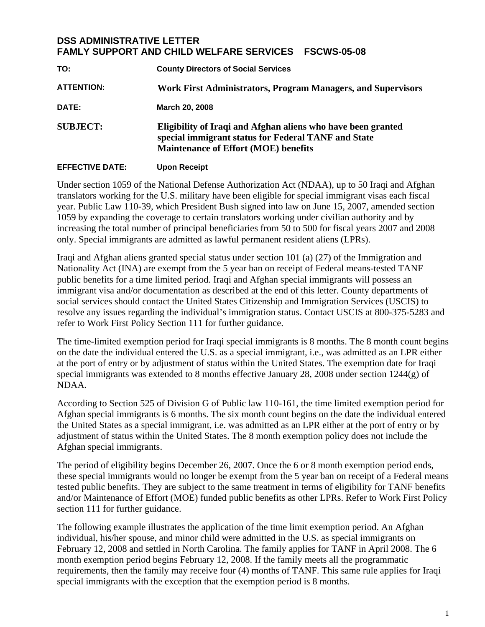## **DSS ADMINISTRATIVE LETTER FAMLY SUPPORT AND CHILD WELFARE SERVICES FSCWS-05-08**

| TO:                    | <b>County Directors of Social Services</b>                                                                                                                         |
|------------------------|--------------------------------------------------------------------------------------------------------------------------------------------------------------------|
| <b>ATTENTION:</b>      | Work First Administrators, Program Managers, and Supervisors                                                                                                       |
| DATE:                  | March 20, 2008                                                                                                                                                     |
| <b>SUBJECT:</b>        | Eligibility of Iraqi and Afghan aliens who have been granted<br>special immigrant status for Federal TANF and State<br><b>Maintenance of Effort (MOE) benefits</b> |
| <b>EFFECTIVE DATE:</b> | <b>Upon Receipt</b>                                                                                                                                                |

Under section 1059 of the National Defense Authorization Act (NDAA), up to 50 Iraqi and Afghan translators working for the U.S. military have been eligible for special immigrant visas each fiscal year. Public Law 110-39, which President Bush signed into law on June 15, 2007, amended section 1059 by expanding the coverage to certain translators working under civilian authority and by increasing the total number of principal beneficiaries from 50 to 500 for fiscal years 2007 and 2008 only. Special immigrants are admitted as lawful permanent resident aliens (LPRs).

Iraqi and Afghan aliens granted special status under section 101 (a) (27) of the Immigration and Nationality Act (INA) are exempt from the 5 year ban on receipt of Federal means-tested TANF public benefits for a time limited period. Iraqi and Afghan special immigrants will possess an immigrant visa and/or documentation as described at the end of this letter. County departments of social services should contact the United States Citizenship and Immigration Services (USCIS) to resolve any issues regarding the individual's immigration status. Contact USCIS at 800-375-5283 and refer to Work First Policy Section 111 for further guidance.

The time-limited exemption period for Iraqi special immigrants is 8 months. The 8 month count begins on the date the individual entered the U.S. as a special immigrant, i.e., was admitted as an LPR either at the port of entry or by adjustment of status within the United States. The exemption date for Iraqi special immigrants was extended to 8 months effective January 28, 2008 under section 1244(g) of NDAA.

According to Section 525 of Division G of Public law 110-161, the time limited exemption period for Afghan special immigrants is 6 months. The six month count begins on the date the individual entered the United States as a special immigrant, i.e. was admitted as an LPR either at the port of entry or by adjustment of status within the United States. The 8 month exemption policy does not include the Afghan special immigrants.

The period of eligibility begins December 26, 2007. Once the 6 or 8 month exemption period ends, these special immigrants would no longer be exempt from the 5 year ban on receipt of a Federal means tested public benefits. They are subject to the same treatment in terms of eligibility for TANF benefits and/or Maintenance of Effort (MOE) funded public benefits as other LPRs. Refer to Work First Policy section 111 for further guidance.

The following example illustrates the application of the time limit exemption period. An Afghan individual, his/her spouse, and minor child were admitted in the U.S. as special immigrants on February 12, 2008 and settled in North Carolina. The family applies for TANF in April 2008. The 6 month exemption period begins February 12, 2008. If the family meets all the programmatic requirements, then the family may receive four (4) months of TANF. This same rule applies for Iraqi special immigrants with the exception that the exemption period is 8 months.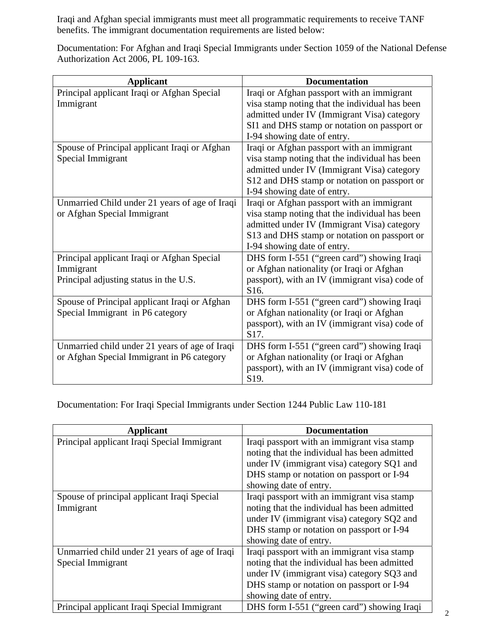Iraqi and Afghan special immigrants must meet all programmatic requirements to receive TANF benefits. The immigrant documentation requirements are listed below:

Documentation: For Afghan and Iraqi Special Immigrants under Section 1059 of the National Defense Authorization Act 2006, PL 109-163.

| <b>Applicant</b>                               | <b>Documentation</b>                                                |
|------------------------------------------------|---------------------------------------------------------------------|
| Principal applicant Iraqi or Afghan Special    | Iraqi or Afghan passport with an immigrant                          |
| Immigrant                                      | visa stamp noting that the individual has been                      |
|                                                | admitted under IV (Immigrant Visa) category                         |
|                                                | SI1 and DHS stamp or notation on passport or                        |
|                                                | I-94 showing date of entry.                                         |
| Spouse of Principal applicant Iraqi or Afghan  | Iraqi or Afghan passport with an immigrant                          |
| Special Immigrant                              | visa stamp noting that the individual has been                      |
|                                                | admitted under IV (Immigrant Visa) category                         |
|                                                | S12 and DHS stamp or notation on passport or                        |
|                                                | I-94 showing date of entry.                                         |
| Unmarried Child under 21 years of age of Iraqi | Iraqi or Afghan passport with an immigrant                          |
| or Afghan Special Immigrant                    | visa stamp noting that the individual has been                      |
|                                                | admitted under IV (Immigrant Visa) category                         |
|                                                | S13 and DHS stamp or notation on passport or                        |
|                                                | I-94 showing date of entry.                                         |
| Principal applicant Iraqi or Afghan Special    | DHS form I-551 ("green card") showing Iraqi                         |
| Immigrant                                      | or Afghan nationality (or Iraqi or Afghan                           |
| Principal adjusting status in the U.S.         | passport), with an IV (immigrant visa) code of                      |
|                                                | S <sub>16</sub> .                                                   |
| Spouse of Principal applicant Iraqi or Afghan  | DHS form I-551 ("green card") showing Iraqi                         |
| Special Immigrant in P6 category               | or Afghan nationality (or Iraqi or Afghan                           |
|                                                | passport), with an IV (immigrant visa) code of                      |
|                                                | S17.                                                                |
| Unmarried child under 21 years of age of Iraqi | DHS form I-551 ("green card") showing Iraqi                         |
| or Afghan Special Immigrant in P6 category     | or Afghan nationality (or Iraqi or Afghan                           |
|                                                | passport), with an IV (immigrant visa) code of<br>S <sub>19</sub> . |

Documentation: For Iraqi Special Immigrants under Section 1244 Public Law 110-181

| <b>Applicant</b>                               | <b>Documentation</b>                         |
|------------------------------------------------|----------------------------------------------|
| Principal applicant Iraqi Special Immigrant    | Iraqi passport with an immigrant visa stamp  |
|                                                | noting that the individual has been admitted |
|                                                | under IV (immigrant visa) category SQ1 and   |
|                                                | DHS stamp or notation on passport or I-94    |
|                                                | showing date of entry.                       |
| Spouse of principal applicant Iraqi Special    | Iraqi passport with an immigrant visa stamp  |
| Immigrant                                      | noting that the individual has been admitted |
|                                                | under IV (immigrant visa) category SQ2 and   |
|                                                | DHS stamp or notation on passport or I-94    |
|                                                | showing date of entry.                       |
| Unmarried child under 21 years of age of Iraqi | Iraqi passport with an immigrant visa stamp  |
| Special Immigrant                              | noting that the individual has been admitted |
|                                                | under IV (immigrant visa) category SQ3 and   |
|                                                | DHS stamp or notation on passport or I-94    |
|                                                | showing date of entry.                       |
| Principal applicant Iraqi Special Immigrant    | DHS form I-551 ("green card") showing Iraqi  |